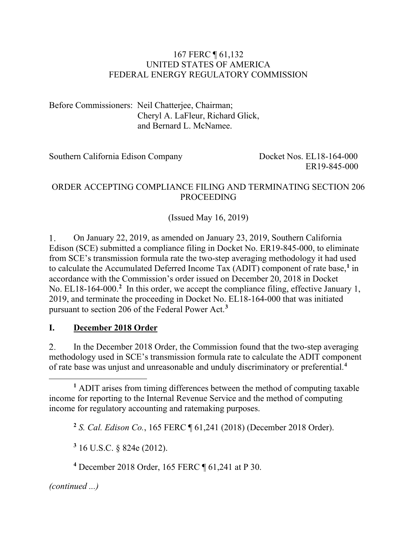#### 167 FERC ¶ 61,132 UNITED STATES OF AMERICA FEDERAL ENERGY REGULATORY COMMISSION

Before Commissioners: Neil Chatterjee, Chairman; Cheryl A. LaFleur, Richard Glick, and Bernard L. McNamee.

Southern California Edison Company Docket Nos. EL18-164-000

ER19-845-000

### ORDER ACCEPTING COMPLIANCE FILING AND TERMINATING SECTION 206 PROCEEDING

(Issued May 16, 2019)

 $1.$ On January 22, 2019, as amended on January 23, 2019, Southern California Edison (SCE) submitted a compliance filing in Docket No. ER19-845-000, to eliminate from SCE's transmission formula rate the two-step averaging methodology it had used to calculate the Accumulated Deferred Income Tax (ADIT) component of rate base, **[1](#page-0-0)** in accordance with the Commission's order issued on December 20, 2018 in Docket No. EL18-164-000.<sup>[2](#page-0-1)</sup> In this order, we accept the compliance filing, effective January 1, 2019, and terminate the proceeding in Docket No. EL18-164-000 that was initiated pursuant to section 206 of the Federal Power Act.**[3](#page-0-2)**

### **I. December 2018 Order**

2. In the December 2018 Order, the Commission found that the two-step averaging methodology used in SCE's transmission formula rate to calculate the ADIT component of rate base was unjust and unreasonable and unduly discriminatory or preferential. **[4](#page-0-3)**

**<sup>2</sup>** *S. Cal. Edison Co.*, 165 FERC ¶ 61,241 (2018) (December 2018 Order).

**<sup>3</sup>** 16 U.S.C. § 824e (2012).

**<sup>4</sup>** December 2018 Order, 165 FERC ¶ 61,241 at P 30.

<span id="page-0-3"></span><span id="page-0-2"></span>*(continued ...)*

<span id="page-0-1"></span><span id="page-0-0"></span>**<sup>1</sup>** ADIT arises from timing differences between the method of computing taxable income for reporting to the Internal Revenue Service and the method of computing income for regulatory accounting and ratemaking purposes.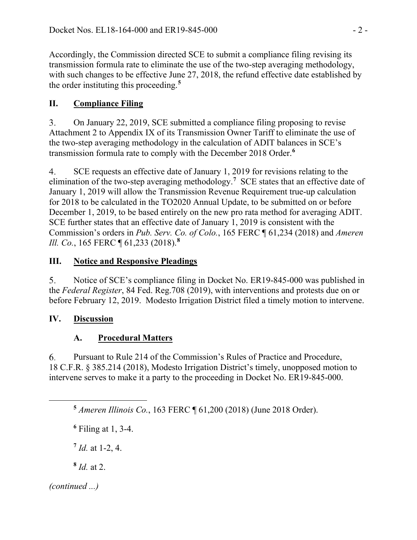Accordingly, the Commission directed SCE to submit a compliance filing revising its transmission formula rate to eliminate the use of the two-step averaging methodology, with such changes to be effective June 27, 2018, the refund effective date established by the order instituting this proceeding. **[5](#page-1-0)**

## **II. Compliance Filing**

 $3.$ On January 22, 2019, SCE submitted a compliance filing proposing to revise Attachment 2 to Appendix IX of its Transmission Owner Tariff to eliminate the use of the two-step averaging methodology in the calculation of ADIT balances in SCE's transmission formula rate to comply with the December 2018 Order.**[6](#page-1-1)**

SCE requests an effective date of January 1, 2019 for revisions relating to the 4. elimination of the two-step averaging methodology.**[7](#page-1-2)** SCE states that an effective date of January 1, 2019 will allow the Transmission Revenue Requirement true-up calculation for 2018 to be calculated in the TO2020 Annual Update, to be submitted on or before December 1, 2019, to be based entirely on the new pro rata method for averaging ADIT. SCE further states that an effective date of January 1, 2019 is consistent with the Commission's orders in *Pub. Serv. Co. of Colo.*, 165 FERC ¶ 61,234 (2018) and *Ameren Ill. Co.*, 165 FERC ¶ 61,233 (2018).**[8](#page-1-3)**

## **III. Notice and Responsive Pleadings**

 $5<sub>1</sub>$ Notice of SCE's compliance filing in Docket No. ER19-845-000 was published in the *Federal Register*, 84 Fed. Reg.708 (2019), with interventions and protests due on or before February 12, 2019. Modesto Irrigation District filed a timely motion to intervene.

# **IV. Discussion**

# **A. Procedural Matters**

Pursuant to Rule 214 of the Commission's Rules of Practice and Procedure, 6. 18 C.F.R. § 385.214 (2018), Modesto Irrigation District's timely, unopposed motion to intervene serves to make it a party to the proceeding in Docket No. ER19-845-000.

**<sup>5</sup>** *Ameren Illinois Co.*, 163 FERC ¶ 61,200 (2018) (June 2018 Order).

**<sup>6</sup>** Filing at 1, 3-4.

**<sup>7</sup>** *Id.* at 1-2, 4.

**<sup>8</sup>** *Id.* at 2.

<span id="page-1-3"></span><span id="page-1-2"></span>*(continued ...)*

<span id="page-1-1"></span><span id="page-1-0"></span> $\overline{a}$